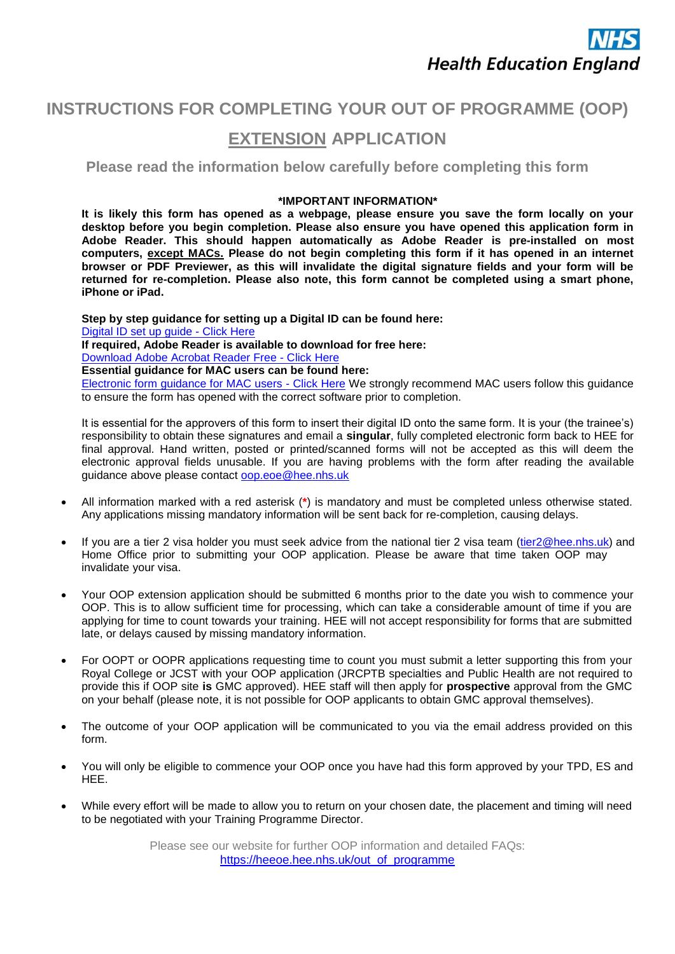

## **INSTRUCTIONS FOR COMPLETING YOUR OUT OF PROGRAMME (OOP)**

## **EXTENSION APPLICATION**

**Please read the information below carefully before completing this form**

## **\*IMPORTANT INFORMATION\***

**It is likely this form has opened as a webpage, please ensure you save the form locally on your desktop before you begin completion. Please also ensure you have opened this application form in Adobe Reader. This should happen automatically as Adobe Reader is pre-installed on most computers, except MACs. Please do not begin completing this form if it has opened in an internet browser or PDF Previewer, as this will invalidate the digital signature fields and your form will be returned for re-completion. Please also note, this form cannot be completed using a smart phone, iPhone or iPad.** 

**Step by step guidance for setting up a Digital ID can be found here:**  [Digital ID set up guide - Click Here](https://heeoe.hee.nhs.uk/sites/default/files/instructions_for_placing_a_digital_id.pdf)  **If required, Adobe Reader is available to download for free here:**  [Download Adobe Acrobat Reader Free - Click Here](https://get.adobe.com/uk/reader/) **Essential guidance for MAC users can be found here:**  [Electronic form guidance for MAC users - Click Here](https://heeoe.hee.nhs.uk/sites/default/files/electronic_form_guidance_for_mac_users_0.pdf) We strongly recommend MAC users follow this guidance to ensure the form has opened with the correct software prior to completion.

It is essential for the approvers of this form to insert their digital ID onto the same form. It is your (the trainee's) responsibility to obtain these signatures and email a **singular**, fully completed electronic form back to HEE for final approval. Hand written, posted or printed/scanned forms will not be accepted as this will deem the electronic approval fields unusable. If you are having problems with the form after reading the available guidance above please contact oop.eoe@hee.nhs.uk

- All information marked with a red asterisk (**\***) is mandatory and must be completed unless otherwise stated. Any applications missing mandatory information will be sent back for re-completion, causing delays.
- If you are a tier 2 visa holder you must seek advice from the national tier 2 visa team [\(tier2@hee.nhs.uk\)](mailto:tier2@hee.nhs.uk) and Home Office prior to submitting your OOP application. Please be aware that time taken OOP may invalidate your visa.
- Your OOP extension application should be submitted 6 months prior to the date you wish to commence your OOP. This is to allow sufficient time for processing, which can take a considerable amount of time if you are applying for time to count towards your training. HEE will not accept responsibility for forms that are submitted late, or delays caused by missing mandatory information.
- For OOPT or OOPR applications requesting time to count you must submit a letter supporting this from your Royal College or JCST with your OOP application (JRCPTB specialties and Public Health are not required to provide this if OOP site **is** GMC approved). HEE staff will then apply for **prospective** approval from the GMC on your behalf (please note, it is not possible for OOP applicants to obtain GMC approval themselves).
- The outcome of your OOP application will be communicated to you via the email address provided on this form.
- You will only be eligible to commence your OOP once you have had this form approved by your TPD, ES and HEE.
- While every effort will be made to allow you to return on your chosen date, the placement and timing will need to be negotiated with your Training Programme Director.

Please see our website for further OOP information and detailed FAQs: [https://heeoe.hee.nhs.uk/out\\_of\\_programme](https://heeoe.hee.nhs.uk/out_of_programme)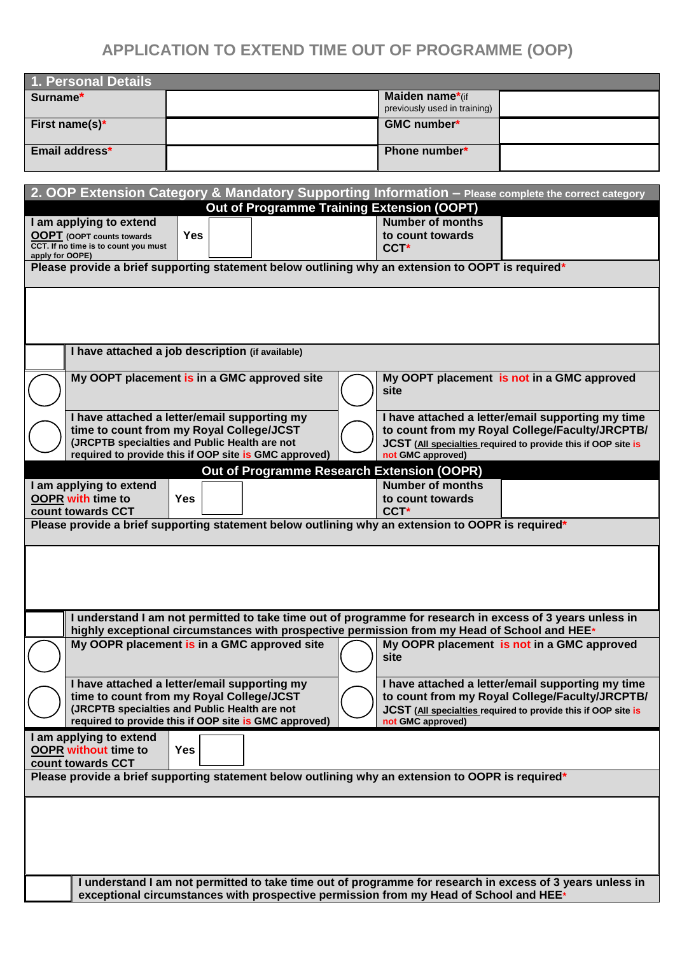## **APPLICATION TO EXTEND TIME OUT OF PROGRAMME (OOP)**

| 1. Personal Details                                                                                 |  |                                                 |  |
|-----------------------------------------------------------------------------------------------------|--|-------------------------------------------------|--|
| Surname*                                                                                            |  | Maiden name*(if<br>previously used in training) |  |
| First name(s)*                                                                                      |  | <b>GMC number*</b>                              |  |
| Email address*                                                                                      |  | Phone number*                                   |  |
|                                                                                                     |  |                                                 |  |
| 2. OOP Extension Category & Mandatory Supporting Information - Please complete the correct category |  |                                                 |  |
| Out of Brogrammo Training Extension (OODT)                                                          |  |                                                 |  |

| $\mathsf{L}$ . Oor Extendien bategery & manuatery bapperting information                                             |            |  | Out of Programme Training Extension (OOPT)                                                   | <b>The complete the correct category</b>                                                                  |
|----------------------------------------------------------------------------------------------------------------------|------------|--|----------------------------------------------------------------------------------------------|-----------------------------------------------------------------------------------------------------------|
| I am applying to extend                                                                                              |            |  | <b>Number of months</b>                                                                      |                                                                                                           |
| <b>OOPT</b> (OOPT counts towards                                                                                     | <b>Yes</b> |  | to count towards                                                                             |                                                                                                           |
| CCT. If no time is to count you must                                                                                 |            |  | CCT <sup>*</sup>                                                                             |                                                                                                           |
| apply for OOPE)<br>Please provide a brief supporting statement below outlining why an extension to OOPT is required* |            |  |                                                                                              |                                                                                                           |
|                                                                                                                      |            |  |                                                                                              |                                                                                                           |
|                                                                                                                      |            |  |                                                                                              |                                                                                                           |
|                                                                                                                      |            |  |                                                                                              |                                                                                                           |
|                                                                                                                      |            |  |                                                                                              |                                                                                                           |
|                                                                                                                      |            |  |                                                                                              |                                                                                                           |
| I have attached a job description (if available)                                                                     |            |  |                                                                                              |                                                                                                           |
|                                                                                                                      |            |  |                                                                                              |                                                                                                           |
| My OOPT placement is in a GMC approved site                                                                          |            |  |                                                                                              | My OOPT placement is not in a GMC approved                                                                |
|                                                                                                                      |            |  | site                                                                                         |                                                                                                           |
| I have attached a letter/email supporting my                                                                         |            |  |                                                                                              | I have attached a letter/email supporting my time                                                         |
| time to count from my Royal College/JCST                                                                             |            |  |                                                                                              | to count from my Royal College/Faculty/JRCPTB/                                                            |
| (JRCPTB specialties and Public Health are not                                                                        |            |  |                                                                                              | JCST (All specialties required to provide this if OOP site is                                             |
| required to provide this if OOP site is GMC approved)                                                                |            |  | not GMC approved)                                                                            |                                                                                                           |
|                                                                                                                      |            |  | <b>Out of Programme Research Extension (OOPR)</b>                                            |                                                                                                           |
| I am applying to extend                                                                                              |            |  | <b>Number of months</b>                                                                      |                                                                                                           |
| <b>OOPR with time to</b>                                                                                             | <b>Yes</b> |  | to count towards                                                                             |                                                                                                           |
| count towards CCT                                                                                                    |            |  | CCT <sup>*</sup>                                                                             |                                                                                                           |
| Please provide a brief supporting statement below outlining why an extension to OOPR is required*                    |            |  |                                                                                              |                                                                                                           |
|                                                                                                                      |            |  |                                                                                              |                                                                                                           |
|                                                                                                                      |            |  |                                                                                              |                                                                                                           |
|                                                                                                                      |            |  |                                                                                              |                                                                                                           |
|                                                                                                                      |            |  |                                                                                              |                                                                                                           |
|                                                                                                                      |            |  |                                                                                              |                                                                                                           |
|                                                                                                                      |            |  |                                                                                              | I understand I am not permitted to take time out of programme for research in excess of 3 years unless in |
|                                                                                                                      |            |  | highly exceptional circumstances with prospective permission from my Head of School and HEE* |                                                                                                           |
| My OOPR placement is in a GMC approved site                                                                          |            |  |                                                                                              | My OOPR placement is not in a GMC approved                                                                |
|                                                                                                                      |            |  | site                                                                                         |                                                                                                           |
|                                                                                                                      |            |  |                                                                                              |                                                                                                           |
| I have attached a letter/email supporting my                                                                         |            |  |                                                                                              | I have attached a letter/email supporting my time                                                         |
| time to count from my Royal College/JCST<br>(JRCPTB specialties and Public Health are not                            |            |  |                                                                                              | to count from my Royal College/Faculty/JRCPTB/                                                            |
| required to provide this if OOP site is GMC approved)                                                                |            |  | not GMC approved)                                                                            | JCST (All specialties required to provide this if OOP site is                                             |
| I am applying to extend                                                                                              |            |  |                                                                                              |                                                                                                           |
| <b>OOPR</b> without time to                                                                                          | <b>Yes</b> |  |                                                                                              |                                                                                                           |
| count towards CCT                                                                                                    |            |  |                                                                                              |                                                                                                           |
| Please provide a brief supporting statement below outlining why an extension to OOPR is required*                    |            |  |                                                                                              |                                                                                                           |
|                                                                                                                      |            |  |                                                                                              |                                                                                                           |
|                                                                                                                      |            |  |                                                                                              |                                                                                                           |
|                                                                                                                      |            |  |                                                                                              |                                                                                                           |
|                                                                                                                      |            |  |                                                                                              |                                                                                                           |
|                                                                                                                      |            |  |                                                                                              |                                                                                                           |
|                                                                                                                      |            |  |                                                                                              |                                                                                                           |
|                                                                                                                      |            |  |                                                                                              | I understand I am not permitted to take time out of programme for research in excess of 3 years unless in |
|                                                                                                                      |            |  | exceptional circumstances with prospective permission from my Head of School and HEE*        |                                                                                                           |
|                                                                                                                      |            |  |                                                                                              |                                                                                                           |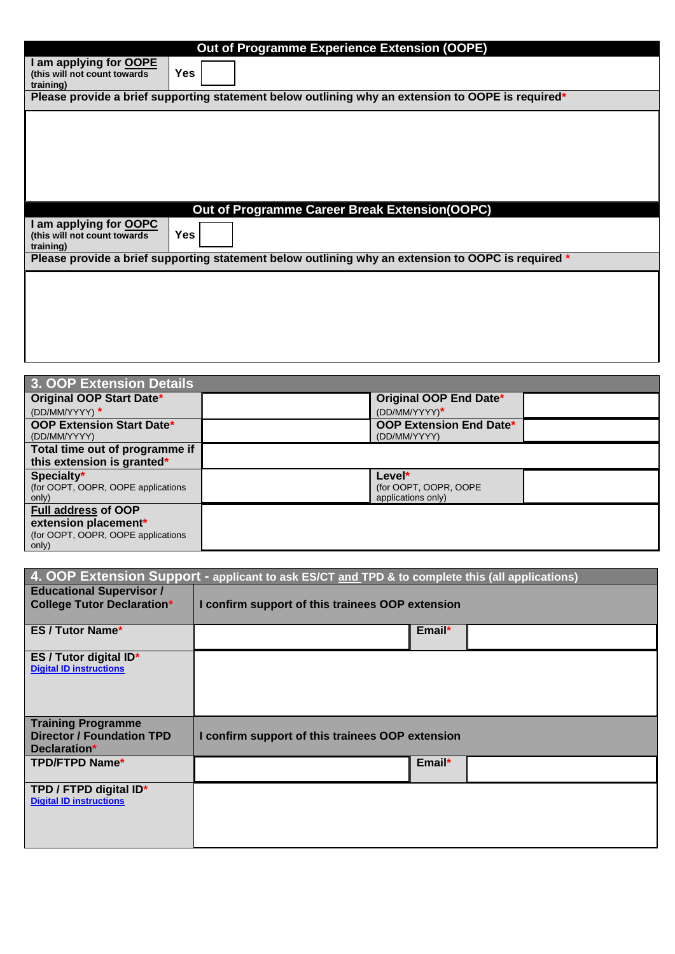|                                                                      | Out of Programme Experience Extension (OOPE)                                                       |
|----------------------------------------------------------------------|----------------------------------------------------------------------------------------------------|
| I am applying for OOPE<br>(this will not count towards)<br>training) | <b>Yes</b>                                                                                         |
|                                                                      | Please provide a brief supporting statement below outlining why an extension to OOPE is required*  |
|                                                                      |                                                                                                    |
|                                                                      |                                                                                                    |
|                                                                      |                                                                                                    |
|                                                                      |                                                                                                    |
|                                                                      |                                                                                                    |
|                                                                      |                                                                                                    |
|                                                                      | Out of Programme Career Break Extension(OOPC)                                                      |
| I am applying for OOPC<br>(this will not count towards               | <b>Yes</b>                                                                                         |
| training)                                                            | Please provide a brief supporting statement below outlining why an extension to OOPC is required * |
|                                                                      |                                                                                                    |
|                                                                      |                                                                                                    |
|                                                                      |                                                                                                    |
|                                                                      |                                                                                                    |

| Original OOP End Date*                         |                    |
|------------------------------------------------|--------------------|
| (DD/MM/YYYY)*                                  |                    |
| <b>OOP Extension End Date*</b><br>(DD/MM/YYYY) |                    |
|                                                |                    |
|                                                |                    |
| Level*                                         |                    |
| (for OOPT, OOPR, OOPE                          |                    |
|                                                |                    |
|                                                |                    |
|                                                |                    |
|                                                |                    |
|                                                | applications only) |

| 4. OOP Extension Support - applicant to ask ES/CT and TPD & to complete this (all applications) |                                                  |  |
|-------------------------------------------------------------------------------------------------|--------------------------------------------------|--|
| <b>Educational Supervisor /</b>                                                                 |                                                  |  |
| <b>College Tutor Declaration*</b>                                                               | I confirm support of this trainees OOP extension |  |
|                                                                                                 |                                                  |  |
| <b>ES / Tutor Name*</b>                                                                         | Email*                                           |  |
| ES / Tutor digital ID*<br><b>Digital ID instructions</b>                                        |                                                  |  |
|                                                                                                 |                                                  |  |
|                                                                                                 |                                                  |  |
|                                                                                                 |                                                  |  |
| <b>Training Programme</b>                                                                       |                                                  |  |
| <b>Director / Foundation TPD</b><br>Declaration*                                                | I confirm support of this trainees OOP extension |  |
|                                                                                                 |                                                  |  |
| <b>TPD/FTPD Name*</b>                                                                           | Email*                                           |  |
| TPD / FTPD digital ID*                                                                          |                                                  |  |
| <b>Digital ID instructions</b>                                                                  |                                                  |  |
|                                                                                                 |                                                  |  |
|                                                                                                 |                                                  |  |
|                                                                                                 |                                                  |  |